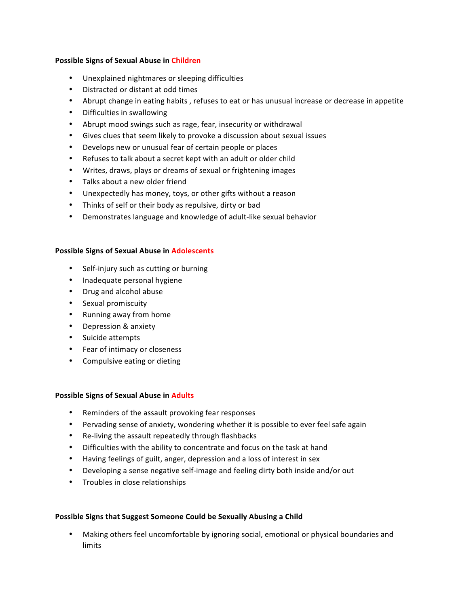## **Possible Signs of Sexual Abuse in Children**

- Unexplained nightmares or sleeping difficulties
- Distracted or distant at odd times
- Abrupt change in eating habits, refuses to eat or has unusual increase or decrease in appetite
- Difficulties in swallowing
- Abrupt mood swings such as rage, fear, insecurity or withdrawal
- Gives clues that seem likely to provoke a discussion about sexual issues
- Develops new or unusual fear of certain people or places
- Refuses to talk about a secret kept with an adult or older child
- Writes, draws, plays or dreams of sexual or frightening images
- Talks about a new older friend
- Unexpectedly has money, toys, or other gifts without a reason
- Thinks of self or their body as repulsive, dirty or bad
- Demonstrates language and knowledge of adult-like sexual behavior

## **Possible Signs of Sexual Abuse in Adolescents**

- Self-injury such as cutting or burning
- Inadequate personal hygiene
- Drug and alcohol abuse
- Sexual promiscuity
- Running away from home
- Depression & anxiety
- Suicide attempts
- Fear of intimacy or closeness
- Compulsive eating or dieting

## **Possible Signs of Sexual Abuse in Adults**

- Reminders of the assault provoking fear responses
- Pervading sense of anxiety, wondering whether it is possible to ever feel safe again
- Re-living the assault repeatedly through flashbacks
- Difficulties with the ability to concentrate and focus on the task at hand
- Having feelings of guilt, anger, depression and a loss of interest in sex
- Developing a sense negative self-image and feeling dirty both inside and/or out
- Troubles in close relationships

## Possible Signs that Suggest Someone Could be Sexually Abusing a Child

Making others feel uncomfortable by ignoring social, emotional or physical boundaries and limits